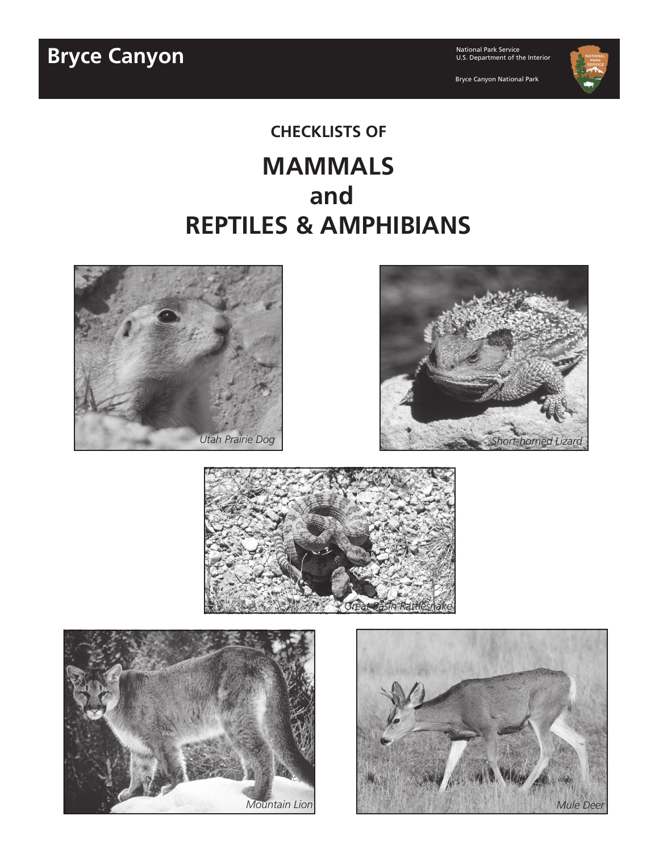**Bryce Canyon** 

National Park Service<br>U.S. Department of the Interior

Bryce Canyon National Park



# **CHECKLISTS OF MAMMALS and REPTILES & AMPHIBIANS**









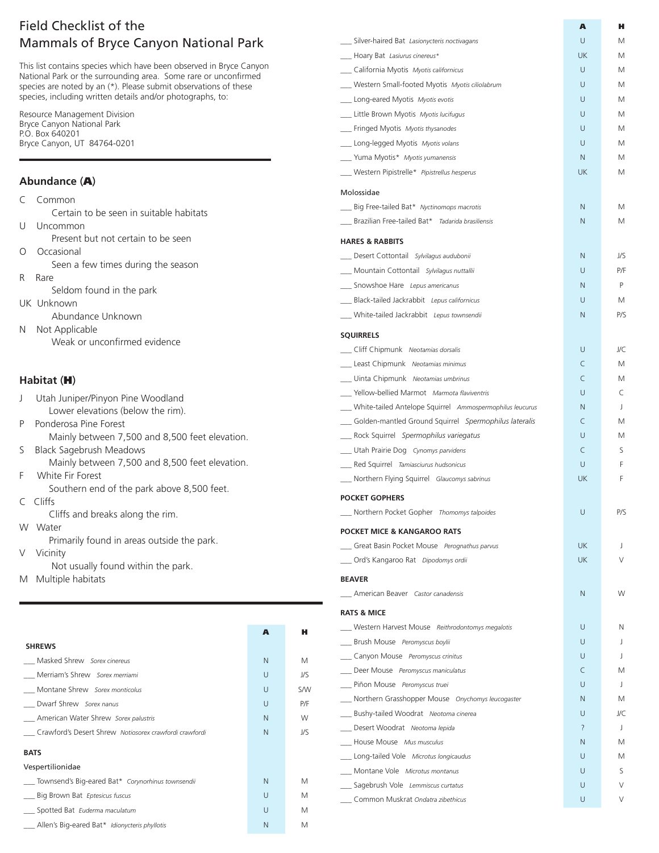## Field Checklist of the Mammals of Bryce Canyon National Park

This list contains species which have been observed in Bryce Canyon National Park or the surrounding area. Some rare or unconfirmed species are noted by an (\*). Please submit observations of these species, including written details and/or photographs, to:

Resource Management Division Bryce Canyon National Park P.O. Box 640201 Bryce Canyon, UT 84764-0201

### **Abundance** (A)

- Certain to be seen in suitable habitats U Uncommon
	- Present but not certain to be seen
- O Occasional
- Seen a few times during the season
- R Rare
	- Seldom found in the park
- UK Unknown
	- Abundance Unknown
- N Not Applicable Weak or unconfirmed evidence

### **Habitat** (H)

- J Utah Juniper/Pinyon Pine Woodland Lower elevations (below the rim).
- P Ponderosa Pine Forest
	- Mainly between 7,500 and 8,500 feet elevation.
- S Black Sagebrush Meadows Mainly between 7,500 and 8,500 feet elevation.
- F White Fir Forest
	- Southern end of the park above 8,500 feet.
- C Cliffs
	- Cliffs and breaks along the rim.
- W Water

Primarily found in areas outside the park.

- V Vicinity
	- Not usually found within the park.
- M Multiple habitats

|                                                        | A      | н          |
|--------------------------------------------------------|--------|------------|
| <b>SHREWS</b>                                          |        |            |
| Masked Shrew Sorex cinereus                            | N      | М          |
| Merriam's Shrew Sorex merriami                         | $\cup$ | J/S        |
| Montane Shrew Sorex monticolus                         | U      | <b>S/W</b> |
| Dwarf Shrew Sorex nanus                                | $\cup$ | P/F        |
| American Water Shrew Sorex palustris                   | N      | W          |
| Crawford's Desert Shrew Notiosorex crawfordi crawfordi | N      | J/S        |
| <b>BATS</b>                                            |        |            |
| Vespertilionidae                                       |        |            |
| Townsend's Big-eared Bat* Corynorhinus townsendii      | N      | М          |
| Big Brown Bat Eptesicus fuscus                         | U      | М          |
| Spotted Bat Euderma maculatum                          | $\cup$ | М          |
| _ Allen's Big-eared Bat* Idionycteris phyllotis        | N      | М          |

|                                                          | A              | н   |
|----------------------------------------------------------|----------------|-----|
| __ Silver-haired Bat Lasionycteris noctivagans           | U              | М   |
| -Roary Bat Lasiurus cinereus*                            | <b>UK</b>      | М   |
| __ California Myotis Myotis californicus                 | U              | М   |
| Western Small-footed Myotis Myotis ciliolabrum           | U              | М   |
| __ Long-eared Myotis Myotis evotis                       | U              | М   |
| Little Brown Myotis Myotis lucifugus                     | U              | М   |
| Fringed Myotis Myotis thysanodes                         | U              | М   |
| Long-legged Myotis Myotis volans                         | U              | М   |
| __ Yuma Myotis* Myotis yumanensis                        | N.             | М   |
| Western Pipistrelle* Pipistrellus hesperus               | UK             | M   |
| Molossidae                                               |                |     |
| Big Free-tailed Bat* Nyctinomops macrotis                | N              | М   |
| Brazilian Free-tailed Bat* Tadarida brasiliensis         | N.             | M   |
| <b>HARES &amp; RABBITS</b>                               |                |     |
| ___ Desert Cottontail Sylvilagus audubonii               | N              | J/S |
| Mountain Cottontail Sylvilagus nuttallii                 | U              | P/F |
| Snowshoe Hare Lepus americanus                           | N              | P   |
| Black-tailed Jackrabbit Lepus californicus               | U              | M   |
| White-tailed Jackrabbit Lepus townsendii                 | N              | P/S |
|                                                          |                |     |
| SQUIRRELS<br>Cliff Chipmunk Neotamias dorsalis           | U              | J/C |
| Least Chipmunk Neotamias minimus                         | C              | M   |
| __ Uinta Chipmunk Neotamias umbrinus                     | C              | М   |
| Vellow-bellied Marmot Marmota flaviventris               | U              | C   |
|                                                          |                |     |
| White-tailed Antelope Squirrel Ammospermophilus leucurus | N              | J.  |
| Golden-mantled Ground Squirrel Spermophilus lateralis    | C              | М   |
| __ Rock Squirrel Spermophilus variegatus                 | U              | М   |
| Utah Prairie Dog Cynomys parvidens                       | C              | S   |
| Red Squirrel Tamiasciurus hudsonicus                     | U              | F   |
| Northern Flying Squirrel Glaucomys sabrinus              | UK             | F   |
| <b>POCKET GOPHERS</b>                                    |                |     |
| Northern Pocket Gopher Thomomys talpoides                | U              | P/S |
| <b>POCKET MICE &amp; KANGAROO RATS</b>                   |                |     |
| Great Basin Pocket Mouse Perognathus parvus              | <b>UK</b>      | J   |
| __ Ord's Kangaroo Rat Dipodomys ordii                    | <b>UK</b>      | V   |
| <b>BEAVER</b>                                            |                |     |
| __ American Beaver Castor canadensis                     | N              | W   |
| <b>RATS &amp; MICE</b>                                   |                |     |
| Western Harvest Mouse Reithrodontomys megalotis          | U              | Ν   |
| Brush Mouse Peromyscus boylii                            | U              | J   |
| __ Canyon Mouse Peromyscus crinitus                      | U              | J.  |
| Deer Mouse Peromyscus maniculatus                        | C              | М   |
| Piñon Mouse Peromyscus truei                             | U              | J   |
| __ Northern Grasshopper Mouse Onychomys leucogaster      | N              | M   |
| __ Bushy-tailed Woodrat Neotoma cinerea                  | U              | J/C |
| Desert Woodrat Neotoma lepida                            | $\overline{?}$ | J   |
| -Rouse Mouse Mus musculus                                | N              | М   |
| __ Long-tailed Vole Microtus longicaudus                 | U              | М   |
| Montane Vole Microtus montanus                           | U              | S   |
| __ Sagebrush Vole Lemmiscus curtatus                     | U              |     |
| __ Common Muskrat Ondatra zibethicus                     | U              | V   |
|                                                          |                |     |